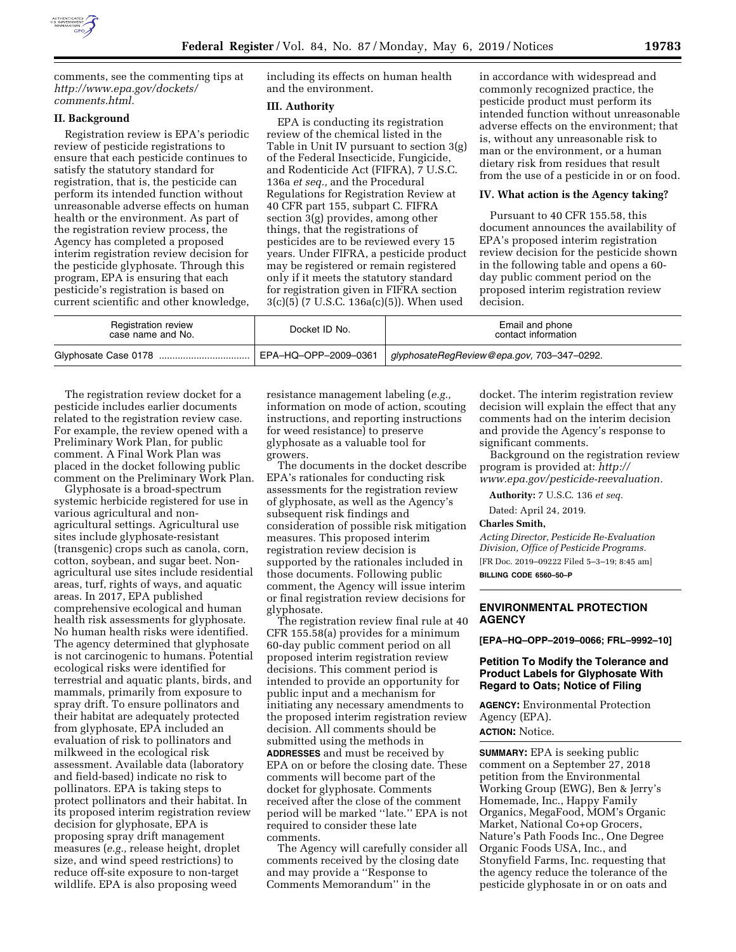

comments, see the commenting tips at *[http://www.epa.gov/dockets/](http://www.epa.gov/dockets/comments.html)  [comments.html.](http://www.epa.gov/dockets/comments.html)* 

### **II. Background**

Registration review is EPA's periodic review of pesticide registrations to ensure that each pesticide continues to satisfy the statutory standard for registration, that is, the pesticide can perform its intended function without unreasonable adverse effects on human health or the environment. As part of the registration review process, the Agency has completed a proposed interim registration review decision for the pesticide glyphosate. Through this program, EPA is ensuring that each pesticide's registration is based on current scientific and other knowledge, including its effects on human health and the environment.

## **III. Authority**

EPA is conducting its registration review of the chemical listed in the Table in Unit IV pursuant to section 3(g) of the Federal Insecticide, Fungicide, and Rodenticide Act (FIFRA), 7 U.S.C. 136a *et seq.,* and the Procedural Regulations for Registration Review at 40 CFR part 155, subpart C. FIFRA section 3(g) provides, among other things, that the registrations of pesticides are to be reviewed every 15 years. Under FIFRA, a pesticide product may be registered or remain registered only if it meets the statutory standard for registration given in FIFRA section 3(c)(5) (7 U.S.C. 136a(c)(5)). When used

in accordance with widespread and commonly recognized practice, the pesticide product must perform its intended function without unreasonable adverse effects on the environment; that is, without any unreasonable risk to man or the environment, or a human dietary risk from residues that result from the use of a pesticide in or on food.

#### **IV. What action is the Agency taking?**

Pursuant to 40 CFR 155.58, this document announces the availability of EPA's proposed interim registration review decision for the pesticide shown in the following table and opens a 60 day public comment period on the proposed interim registration review decision.

| <b>Registration review</b><br>case name and No. | Docket ID No.        | Email and phone<br>contact information     |
|-------------------------------------------------|----------------------|--------------------------------------------|
| Glyphosate Case 0178                            | EPA-HQ-OPP-2009-0361 | glyphosateRegReview@epa.gov, 703-347-0292. |

The registration review docket for a pesticide includes earlier documents related to the registration review case. For example, the review opened with a Preliminary Work Plan, for public comment. A Final Work Plan was placed in the docket following public comment on the Preliminary Work Plan.

Glyphosate is a broad-spectrum systemic herbicide registered for use in various agricultural and nonagricultural settings. Agricultural use sites include glyphosate-resistant (transgenic) crops such as canola, corn, cotton, soybean, and sugar beet. Nonagricultural use sites include residential areas, turf, rights of ways, and aquatic areas. In 2017, EPA published comprehensive ecological and human health risk assessments for glyphosate. No human health risks were identified. The agency determined that glyphosate is not carcinogenic to humans. Potential ecological risks were identified for terrestrial and aquatic plants, birds, and mammals, primarily from exposure to spray drift. To ensure pollinators and their habitat are adequately protected from glyphosate, EPA included an evaluation of risk to pollinators and milkweed in the ecological risk assessment. Available data (laboratory and field-based) indicate no risk to pollinators. EPA is taking steps to protect pollinators and their habitat. In its proposed interim registration review decision for glyphosate, EPA is proposing spray drift management measures (*e.g.,* release height, droplet size, and wind speed restrictions) to reduce off-site exposure to non-target wildlife. EPA is also proposing weed

resistance management labeling (*e.g.,*  information on mode of action, scouting instructions, and reporting instructions for weed resistance) to preserve glyphosate as a valuable tool for growers.

The documents in the docket describe EPA's rationales for conducting risk assessments for the registration review of glyphosate, as well as the Agency's subsequent risk findings and consideration of possible risk mitigation measures. This proposed interim registration review decision is supported by the rationales included in those documents. Following public comment, the Agency will issue interim or final registration review decisions for glyphosate.

The registration review final rule at 40 CFR 155.58(a) provides for a minimum 60-day public comment period on all proposed interim registration review decisions. This comment period is intended to provide an opportunity for public input and a mechanism for initiating any necessary amendments to the proposed interim registration review decision. All comments should be submitted using the methods in **ADDRESSES** and must be received by EPA on or before the closing date. These comments will become part of the docket for glyphosate. Comments received after the close of the comment period will be marked ''late.'' EPA is not required to consider these late comments.

The Agency will carefully consider all comments received by the closing date and may provide a ''Response to Comments Memorandum'' in the

docket. The interim registration review decision will explain the effect that any comments had on the interim decision and provide the Agency's response to significant comments.

Background on the registration review program is provided at: *[http://](http://www.epa.gov/pesticide-reevaluation) [www.epa.gov/pesticide-reevaluation.](http://www.epa.gov/pesticide-reevaluation)* 

**Authority:** 7 U.S.C. 136 *et seq.* 

Dated: April 24, 2019.

#### **Charles Smith,**

*Acting Director, Pesticide Re-Evaluation Division, Office of Pesticide Programs.*  [FR Doc. 2019–09222 Filed 5–3–19; 8:45 am]

**BILLING CODE 6560–50–P** 

# **ENVIRONMENTAL PROTECTION AGENCY**

**[EPA–HQ–OPP–2019–0066; FRL–9992–10]** 

# **Petition To Modify the Tolerance and Product Labels for Glyphosate With Regard to Oats; Notice of Filing**

**AGENCY:** Environmental Protection Agency (EPA).

**ACTION:** Notice.

**SUMMARY:** EPA is seeking public comment on a September 27, 2018 petition from the Environmental Working Group (EWG), Ben & Jerry's Homemade, Inc., Happy Family Organics, MegaFood, MOM's Organic Market, National Co+op Grocers, Nature's Path Foods Inc., One Degree Organic Foods USA, Inc., and Stonyfield Farms, Inc. requesting that the agency reduce the tolerance of the pesticide glyphosate in or on oats and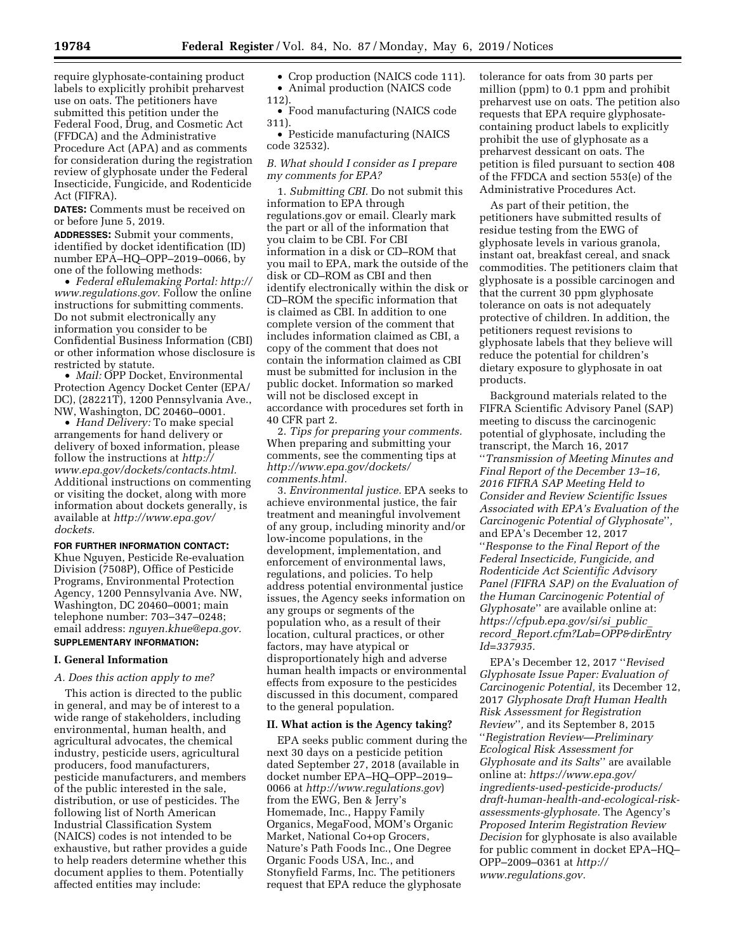require glyphosate-containing product labels to explicitly prohibit preharvest use on oats. The petitioners have submitted this petition under the Federal Food, Drug, and Cosmetic Act (FFDCA) and the Administrative Procedure Act (APA) and as comments for consideration during the registration review of glyphosate under the Federal Insecticide, Fungicide, and Rodenticide Act (FIFRA).

**DATES:** Comments must be received on or before June 5, 2019.

**ADDRESSES:** Submit your comments, identified by docket identification (ID) number EPA–HQ–OPP–2019–0066, by one of the following methods:

• *Federal eRulemaking Portal: [http://](http://www.regulations.gov)  [www.regulations.gov.](http://www.regulations.gov)* Follow the online instructions for submitting comments. Do not submit electronically any information you consider to be Confidential Business Information (CBI) or other information whose disclosure is restricted by statute.

• *Mail:* OPP Docket, Environmental Protection Agency Docket Center (EPA/ DC), (28221T), 1200 Pennsylvania Ave., NW, Washington, DC 20460–0001.

• *Hand Delivery:* To make special arrangements for hand delivery or delivery of boxed information, please follow the instructions at *[http://](http://www.epa.gov/dockets/contacts.html) [www.epa.gov/dockets/contacts.html.](http://www.epa.gov/dockets/contacts.html)*  Additional instructions on commenting or visiting the docket, along with more information about dockets generally, is available at *[http://www.epa.gov/](http://www.epa.gov/dockets) [dockets.](http://www.epa.gov/dockets)* 

**FOR FURTHER INFORMATION CONTACT:** 

Khue Nguyen, Pesticide Re-evaluation Division (7508P), Office of Pesticide Programs, Environmental Protection Agency, 1200 Pennsylvania Ave. NW, Washington, DC 20460–0001; main telephone number: 703–347–0248; email address: *[nguyen.khue@epa.gov.](mailto:nguyen.khue@epa.gov)*  **SUPPLEMENTARY INFORMATION:** 

#### **I. General Information**

#### *A. Does this action apply to me?*

This action is directed to the public in general, and may be of interest to a wide range of stakeholders, including environmental, human health, and agricultural advocates, the chemical industry, pesticide users, agricultural producers, food manufacturers, pesticide manufacturers, and members of the public interested in the sale, distribution, or use of pesticides. The following list of North American Industrial Classification System (NAICS) codes is not intended to be exhaustive, but rather provides a guide to help readers determine whether this document applies to them. Potentially affected entities may include:

• Crop production (NAICS code 111). • Animal production (NAICS code 112).

• Food manufacturing (NAICS code 311).

• Pesticide manufacturing (NAICS code 32532).

# *B. What should I consider as I prepare my comments for EPA?*

1. *Submitting CBI.* Do not submit this information to EPA through regulations.gov or email. Clearly mark the part or all of the information that you claim to be CBI. For CBI information in a disk or CD–ROM that you mail to EPA, mark the outside of the disk or CD–ROM as CBI and then identify electronically within the disk or CD–ROM the specific information that is claimed as CBI. In addition to one complete version of the comment that includes information claimed as CBI, a copy of the comment that does not contain the information claimed as CBI must be submitted for inclusion in the public docket. Information so marked will not be disclosed except in accordance with procedures set forth in 40 CFR part 2.

2. *Tips for preparing your comments.*  When preparing and submitting your comments, see the commenting tips at *[http://www.epa.gov/dockets/](http://www.epa.gov/dockets/comments.html)  [comments.html.](http://www.epa.gov/dockets/comments.html)* 

3. *Environmental justice.* EPA seeks to achieve environmental justice, the fair treatment and meaningful involvement of any group, including minority and/or low-income populations, in the development, implementation, and enforcement of environmental laws, regulations, and policies. To help address potential environmental justice issues, the Agency seeks information on any groups or segments of the population who, as a result of their location, cultural practices, or other factors, may have atypical or disproportionately high and adverse human health impacts or environmental effects from exposure to the pesticides discussed in this document, compared to the general population.

#### **II. What action is the Agency taking?**

EPA seeks public comment during the next 30 days on a pesticide petition dated September 27, 2018 (available in docket number EPA–HQ–OPP–2019– 0066 at *<http://www.regulations.gov>*) from the EWG, Ben & Jerry's Homemade, Inc., Happy Family Organics, MegaFood, MOM's Organic Market, National Co+op Grocers, Nature's Path Foods Inc., One Degree Organic Foods USA, Inc., and Stonyfield Farms, Inc. The petitioners request that EPA reduce the glyphosate

tolerance for oats from 30 parts per million (ppm) to 0.1 ppm and prohibit preharvest use on oats. The petition also requests that EPA require glyphosatecontaining product labels to explicitly prohibit the use of glyphosate as a preharvest dessicant on oats. The petition is filed pursuant to section 408 of the FFDCA and section 553(e) of the Administrative Procedures Act.

As part of their petition, the petitioners have submitted results of residue testing from the EWG of glyphosate levels in various granola, instant oat, breakfast cereal, and snack commodities. The petitioners claim that glyphosate is a possible carcinogen and that the current 30 ppm glyphosate tolerance on oats is not adequately protective of children. In addition, the petitioners request revisions to glyphosate labels that they believe will reduce the potential for children's dietary exposure to glyphosate in oat products.

Background materials related to the FIFRA Scientific Advisory Panel (SAP) meeting to discuss the carcinogenic potential of glyphosate, including the transcript, the March 16, 2017 ''*Transmission of Meeting Minutes and Final Report of the December 13–16, 2016 FIFRA SAP Meeting Held to Consider and Review Scientific Issues Associated with EPA's Evaluation of the Carcinogenic Potential of Glyphosate*''*,*  and EPA's December 12, 2017 ''*Response to the Final Report of the Federal Insecticide, Fungicide, and Rodenticide Act Scientific Advisory Panel (FIFRA SAP) on the Evaluation of the Human Carcinogenic Potential of Glyphosate*'' are available online at: *[https://cfpub.epa.gov/si/si](https://cfpub.epa.gov/si/si_public_record_Report.cfm?Lab=OPP&dirEntryId=337935)*\_*public*\_ *record*\_*[Report.cfm?Lab=OPP&dirEntry](https://cfpub.epa.gov/si/si_public_record_Report.cfm?Lab=OPP&dirEntryId=337935) [Id=337935.](https://cfpub.epa.gov/si/si_public_record_Report.cfm?Lab=OPP&dirEntryId=337935)* 

EPA's December 12, 2017 ''*Revised Glyphosate Issue Paper: Evaluation of Carcinogenic Potential,* its December 12, 2017 *Glyphosate Draft Human Health Risk Assessment for Registration Review*''*,* and its September 8, 2015 ''*Registration Review—Preliminary Ecological Risk Assessment for Glyphosate and its Salts*'' are available online at: *[https://www.epa.gov/](https://www.epa.gov/ingredients-used-pesticide-products/draft-human-health-and-ecological-risk-assessments-glyphosate) [ingredients-used-pesticide-products/](https://www.epa.gov/ingredients-used-pesticide-products/draft-human-health-and-ecological-risk-assessments-glyphosate)  [draft-human-health-and-ecological-risk](https://www.epa.gov/ingredients-used-pesticide-products/draft-human-health-and-ecological-risk-assessments-glyphosate)[assessments-glyphosate.](https://www.epa.gov/ingredients-used-pesticide-products/draft-human-health-and-ecological-risk-assessments-glyphosate)* The Agency's *Proposed Interim Registration Review Decision* for glyphosate is also available for public comment in docket EPA–HQ– OPP–2009–0361 at *[http://](http://www.regulations.gov) [www.regulations.gov.](http://www.regulations.gov)*